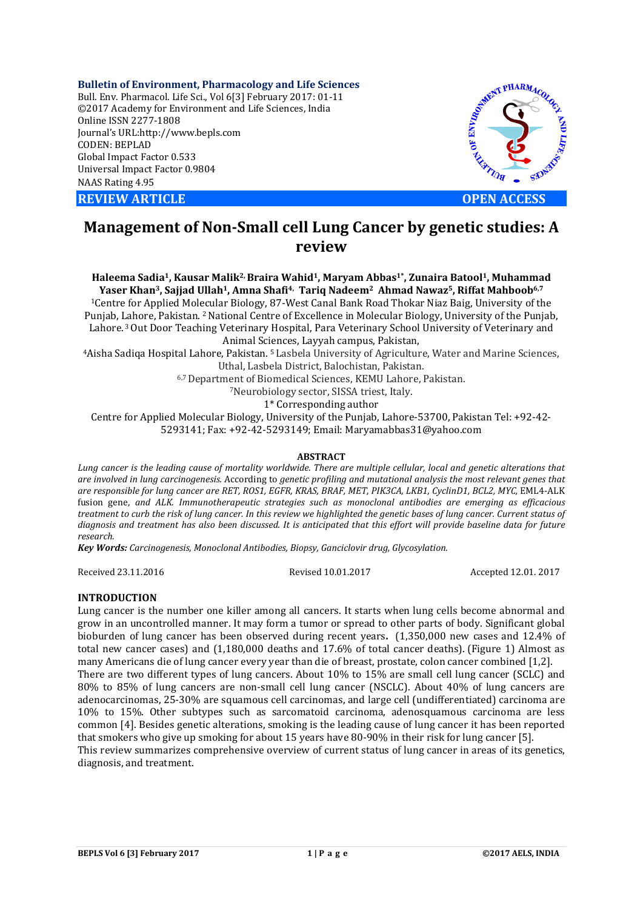**Bulletin of Environment, Pharmacology and Life Sciences** Bull. Env. Pharmacol. Life Sci., Vol 6[3] February 2017: 01-11 ©2017 Academy for Environment and Life Sciences, India Online ISSN 2277-1808 Journal's URL:http://www.bepls.com CODEN: BEPLAD Global Impact Factor 0.533 Universal Impact Factor 0.9804 NAAS Rating 4.95





# **Management of Non-Small cell Lung Cancer by genetic studies: A review**

**Haleema Sadia1, Kausar Malik2, Braira Wahid1, Maryam Abbas1\*, Zunaira Batool1, Muhammad**  Yaser Khan<sup>3</sup>, Sajjad Ullah<sup>1</sup>, Amna Shafi<sup>4,</sup> Tariq Nadeem<sup>2</sup> Ahmad Nawaz<sup>5</sup>, Riffat Mahboob<sup>6,7</sup>

1Centre for Applied Molecular Biology, 87-West Canal Bank Road Thokar Niaz Baig, University of the Punjab, Lahore, Pakistan. 2 National Centre of Excellence in Molecular Biology, University of the Punjab, Lahore. 3 Out Door Teaching Veterinary Hospital, Para Veterinary School University of Veterinary and Animal Sciences, Layyah campus, Pakistan,

4Aisha Sadiqa Hospital Lahore, Pakistan. 5 Lasbela University of Agriculture, Water and Marine Sciences, Uthal, Lasbela District, Balochistan, Pakistan.

6,7 Department of Biomedical Sciences, KEMU Lahore, Pakistan. 7Neurobiology sector, SISSA triest, Italy.

1\* Corresponding author

Centre for Applied Molecular Biology, University of the Punjab, Lahore-53700, Pakistan Tel: +92-42- 5293141; Fax: +92-42-5293149; Email: Maryamabbas31@yahoo.com

#### **ABSTRACT**

*Lung cancer is the leading cause of mortality worldwide. There are multiple cellular, local and genetic alterations that are involved in lung carcinogenesis.* According to *genetic profiling and mutational analysis the most relevant genes that are responsible for lung cancer are RET, ROS1, EGFR, KRAS, BRAF, MET, PIK3CA, LKB1, CyclinD1, BCL2, MYC,* EML4-ALK fusion gene, *and ALK. Immunotherapeutic strategies such as monoclonal antibodies are emerging as efficacious* treatment to curb the risk of lung cancer. In this review we highlighted the genetic bases of lung cancer. Current status of diagnosis and treatment has also been discussed. It is anticipated that this effort will provide baseline data for future *research.* 

*Key Words: Carcinogenesis, Monoclonal Antibodies, Biopsy, Ganciclovir drug, Glycosylation.*

Received 23.11.2016 Revised 10.01.2017 Accepted 12.01. 2017

# **INTRODUCTION**

Lung cancer is the number one killer among all cancers. It starts when lung cells become abnormal and grow in an uncontrolled manner. It may form a tumor or spread to other parts of body. Significant global bioburden of lung cancer has been observed during recent years**.** (1,350,000 new cases and 12.4% of total new cancer cases) and (1,180,000 deaths and 17.6% of total cancer deaths). (Figure 1) Almost as many Americans die of lung cancer every year than die of breast, prostate, colon cancer combined [1,2]. There are two different types of lung cancers. About 10% to 15% are small cell lung cancer (SCLC) and 80% to 85% of lung cancers are non-small cell lung cancer (NSCLC). About 40% of lung cancers are adenocarcinomas, 25-30% are squamous cell carcinomas, and large cell (undifferentiated) carcinoma are 10% to 15%. Other subtypes such as sarcomatoid carcinoma, adenosquamous carcinoma are less common [4]. Besides genetic alterations, smoking is the leading cause of lung cancer it has been reported that smokers who give up smoking for about 15 years have 80-90% in their risk for lung cancer [5]. This review summarizes comprehensive overview of current status of lung cancer in areas of its genetics, diagnosis, and treatment.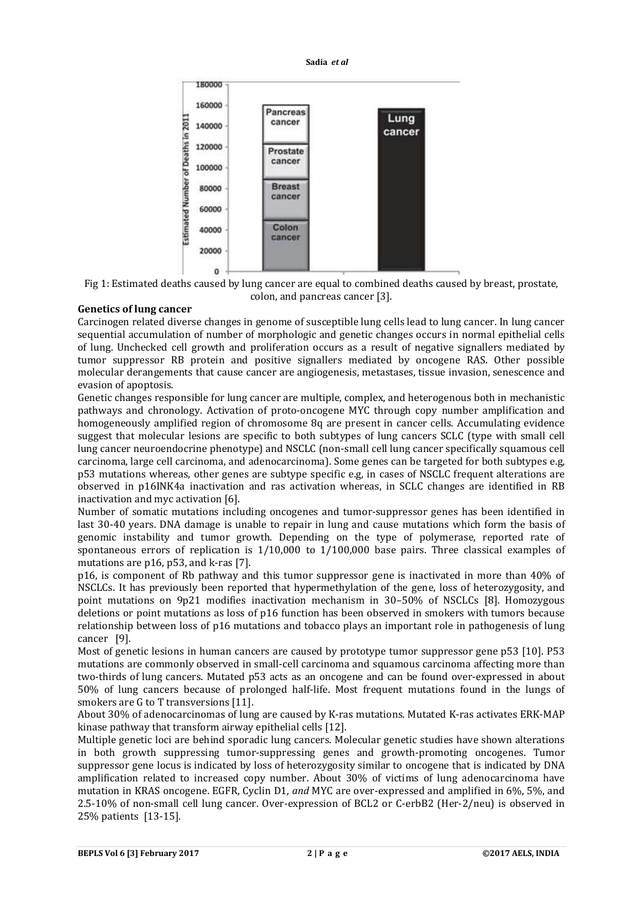

Fig 1: Estimated deaths caused by lung cancer are equal to combined deaths caused by breast, prostate, colon, and pancreas cancer [3].

#### **Genetics of lung cancer**

Carcinogen related diverse changes in genome of susceptible lung cells lead to lung cancer. In lung cancer sequential accumulation of number of morphologic and genetic changes occurs in normal epithelial cells of lung. Unchecked cell growth and proliferation occurs as a result of negative signallers mediated by tumor suppressor RB protein and positive signallers mediated by oncogene RAS. Other possible molecular derangements that cause cancer are angiogenesis, metastases, tissue invasion, senescence and evasion of apoptosis.

Genetic changes responsible for lung cancer are multiple, complex, and heterogenous both in mechanistic pathways and chronology. Activation of proto-oncogene MYC through copy number amplification and homogeneously amplified region of chromosome 8q are present in cancer cells. Accumulating evidence suggest that molecular lesions are specific to both subtypes of lung cancers SCLC (type with small cell lung cancer neuroendocrine phenotype) and NSCLC (non-small cell lung cancer specifically squamous cell carcinoma, large cell carcinoma, and adenocarcinoma). Some genes can be targeted for both subtypes e.g, p53 mutations whereas, other genes are subtype specific e.g, in cases of NSCLC frequent alterations are observed in p16INK4a inactivation and ras activation whereas, in SCLC changes are identified in RB inactivation and myc activation [6].

Number of somatic mutations including oncogenes and tumor-suppressor genes has been identified in last 30-40 years. DNA damage is unable to repair in lung and cause mutations which form the basis of genomic instability and tumor growth. Depending on the type of polymerase, reported rate of spontaneous errors of replication is 1/10,000 to 1/100,000 base pairs. Three classical examples of mutations are p16, p53, and k-ras [7].

p16, is component of Rb pathway and this tumor suppressor gene is inactivated in more than 40% of NSCLCs. It has previously been reported that hypermethylation of the gene, loss of heterozygosity, and point mutations on 9p21 modifies inactivation mechanism in 30–50% of NSCLCs [8]. Homozygous deletions or point mutations as loss of p16 function has been observed in smokers with tumors because relationship between loss of p16 mutations and tobacco plays an important role in pathogenesis of lung cancer [9].

Most of genetic lesions in human cancers are caused by prototype tumor suppressor gene p53 [10]. P53 mutations are commonly observed in small-cell carcinoma and squamous carcinoma affecting more than two-thirds of lung cancers. Mutated p53 acts as an oncogene and can be found over-expressed in about 50% of lung cancers because of prolonged half-life. Most frequent mutations found in the lungs of smokers are G to T transversions [11].

About 30% of adenocarcinomas of lung are caused by K-ras mutations. Mutated K-ras activates ERK-MAP kinase pathway that transform airway epithelial cells [12].

Multiple genetic loci are behind sporadic lung cancers. Molecular genetic studies have shown alterations in both growth suppressing tumor-suppressing genes and growth-promoting oncogenes. Tumor suppressor gene locus is indicated by loss of heterozygosity similar to oncogene that is indicated by DNA amplification related to increased copy number. About 30% of victims of lung adenocarcinoma have mutation in KRAS oncogene. EGFR, Cyclin D1*, and* MYC are over-expressed and amplified in 6%, 5%, and 2.5-10% of non-small cell lung cancer. Over-expression of BCL2 or C-erbB2 (Her-2/neu) is observed in 25% patients [13-15]*.*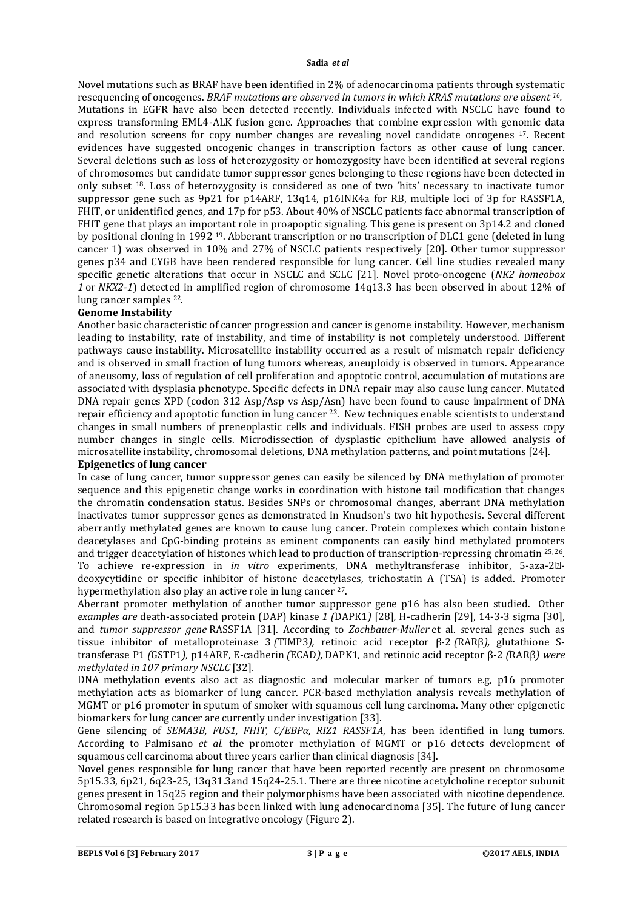Novel mutations such as BRAF have been identified in 2% of adenocarcinoma patients through systematic resequencing of oncogenes. *BRAF mutations are observed in tumors in which KRAS mutations are absent 16.* Mutations in EGFR have also been detected recently. Individuals infected with NSCLC have found to express transforming EML4-ALK fusion gene. Approaches that combine expression with genomic data and resolution screens for copy number changes are revealing novel candidate oncogenes 17. Recent evidences have suggested oncogenic changes in transcription factors as other cause of lung cancer. Several deletions such as loss of heterozygosity or homozygosity have been identified at several regions of chromosomes but candidate tumor suppressor genes belonging to these regions have been detected in only subset 18. Loss of heterozygosity is considered as one of two 'hits' necessary to inactivate tumor suppressor gene such as 9p21 for p14ARF, 13q14, p16INK4a for RB, multiple loci of 3p for RASSF1A, FHIT, or unidentified genes, and 17p for p53. About 40% of NSCLC patients face abnormal transcription of FHIT gene that plays an important role in proapoptic signaling. This gene is present on 3p14.2 and cloned by positional cloning in 1992 19. Abberant transcription or no transcription of DLC1 gene (deleted in lung cancer 1) was observed in 10% and 27% of NSCLC patients respectively [20]. Other tumor suppressor genes p34 and CYGB have been rendered responsible for lung cancer. Cell line studies revealed many specific genetic alterations that occur in NSCLC and SCLC [21]. Novel proto-oncogene (*NK2 homeobox 1* or *NKX2-1*) detected in amplified region of chromosome 14q13.3 has been observed in about 12% of lung cancer samples 22.

# **Genome Instability**

Another basic characteristic of cancer progression and cancer is genome instability. However, mechanism leading to instability, rate of instability, and time of instability is not completely understood. Different pathways cause instability. Microsatellite instability occurred as a result of mismatch repair deficiency and is observed in small fraction of lung tumors whereas, aneuploidy is observed in tumors. Appearance of aneusomy, loss of regulation of cell proliferation and apoptotic control, accumulation of mutations are associated with dysplasia phenotype. Specific defects in DNA repair may also cause lung cancer. Mutated DNA repair genes XPD (codon 312 Asp/Asp vs Asp/Asn) have been found to cause impairment of DNA repair efficiency and apoptotic function in lung cancer 23. New techniques enable scientists to understand changes in small numbers of preneoplastic cells and individuals. FISH probes are used to assess copy number changes in single cells. Microdissection of dysplastic epithelium have allowed analysis of microsatellite instability, chromosomal deletions, DNA methylation patterns, and point mutations [24].

### **Epigenetics of lung cancer**

In case of lung cancer, tumor suppressor genes can easily be silenced by DNA methylation of promoter sequence and this epigenetic change works in coordination with histone tail modification that changes the chromatin condensation status. Besides SNPs or chromosomal changes, aberrant DNA methylation inactivates tumor suppressor genes as demonstrated in Knudson's two hit hypothesis. Several different aberrantly methylated genes are known to cause lung cancer. Protein complexes which contain histone deacetylases and CpG-binding proteins as eminent components can easily bind methylated promoters and trigger deacetylation of histones which lead to production of transcription-repressing chromatin 25, 26. To achieve re-expression in *in vitro* experiments, DNA methyltransferase inhibitor, 5-aza-2<sup>[2]</sup>deoxycytidine or specific inhibitor of histone deacetylases, trichostatin A (TSA) is added. Promoter hypermethylation also play an active role in lung cancer 27.

Aberrant promoter methylation of another tumor suppressor gene p16 has also been studied. Other *examples are* death-associated protein (DAP) kinase *1 (*DAPK1*)* [28]*,* H-cadherin [29], 14-3-3 sigma [30], and *tumor suppressor gene* RASSF1A [31]. According to *Zochbauer-Muller* et al*. s*everal genes such as tissue inhibitor of metalloproteinase 3 *(*TIMP3*),* retinoic acid receptor β-2 *(*RARβ*),* glutathione Stransferase P1 *(*GSTP1*),* p14ARF, E-cadherin *(*ECAD*),* DAPK1*,* and retinoic acid receptor β-2 *(*RARβ*) were methylated in 107 primary NSCLC* [32]*.*

DNA methylation events also act as diagnostic and molecular marker of tumors e.g, p16 promoter methylation acts as biomarker of lung cancer. PCR-based methylation analysis reveals methylation of MGMT or p16 promoter in sputum of smoker with squamous cell lung carcinoma. Many other epigenetic biomarkers for lung cancer are currently under investigation [33].

Gene silencing of *SEMA3B, FUS1, FHIT, C/EBPα, RIZ1 RASSF1A,* has been identified in lung tumors. According to Palmisano *et al.* the promoter methylation of MGMT or p16 detects development of squamous cell carcinoma about three years earlier than clinical diagnosis [34].

Novel genes responsible for lung cancer that have been reported recently are present on chromosome 5p15.33, 6p21, 6q23-25, 13q31.3and 15q24-25.1. There are three nicotine acetylcholine receptor subunit genes present in 15q25 region and their polymorphisms have been associated with nicotine dependence. Chromosomal region 5p15.33 has been linked with lung adenocarcinoma [35]. The future of lung cancer related research is based on integrative oncology (Figure 2).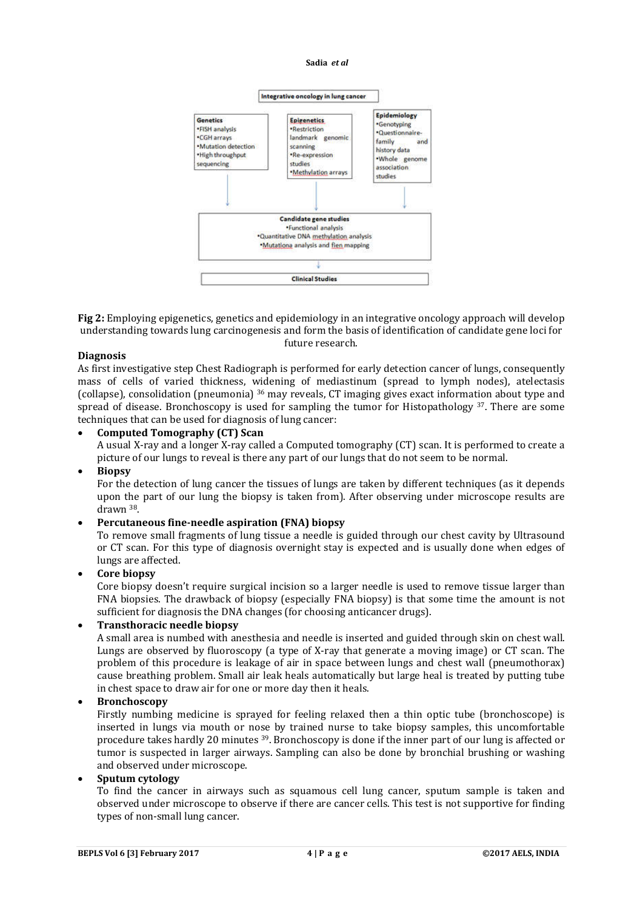

**Fig 2:** Employing epigenetics, genetics and epidemiology in an integrative oncology approach will develop understanding towards lung carcinogenesis and form the basis of identification of candidate gene loci for future research.

### **Diagnosis**

As first investigative step Chest Radiograph is performed for early detection cancer of lungs, consequently mass of cells of varied thickness, widening of mediastinum (spread to lymph nodes), atelectasis (collapse), consolidation (pneumonia) 36 may reveals, CT imaging gives exact information about type and spread of disease. Bronchoscopy is used for sampling the tumor for Histopathology  $37$ . There are some techniques that can be used for diagnosis of lung cancer:

### **Computed Tomography (CT) Scan**

A usual X-ray and a longer X-ray called a Computed tomography (CT) scan. It is performed to create a picture of our lungs to reveal is there any part of our lungs that do not seem to be normal.

#### **Biopsy**

For the detection of lung cancer the tissues of lungs are taken by different techniques (as it depends upon the part of our lung the biopsy is taken from). After observing under microscope results are drawn 38.

### **Percutaneous fine-needle aspiration (FNA) biopsy**

To remove small fragments of lung tissue a needle is guided through our chest cavity by Ultrasound or CT scan. For this type of diagnosis overnight stay is expected and is usually done when edges of lungs are affected.

### **Core biopsy**

Core biopsy doesn't require surgical incision so a larger needle is used to remove tissue larger than FNA biopsies. The drawback of biopsy (especially FNA biopsy) is that some time the amount is not sufficient for diagnosis the DNA changes (for choosing anticancer drugs).

# **Transthoracic needle biopsy**

A small area is numbed with anesthesia and needle is inserted and guided through skin on chest wall. Lungs are observed by fluoroscopy (a type of X-ray that generate a moving image) or CT scan. The problem of this procedure is leakage of air in space between lungs and chest wall (pneumothorax) cause breathing problem. Small air leak heals automatically but large heal is treated by putting tube in chest space to draw air for one or more day then it heals.

### **Bronchoscopy**

Firstly numbing medicine is sprayed for feeling relaxed then a thin optic tube (bronchoscope) is inserted in lungs via mouth or nose by trained nurse to take biopsy samples, this uncomfortable procedure takes hardly 20 minutes 39. Bronchoscopy is done if the inner part of our lung is affected or tumor is suspected in larger airways. Sampling can also be done by bronchial brushing or washing and observed under microscope.

# **Sputum cytology**

To find the cancer in airways such as squamous cell lung cancer, sputum sample is taken and observed under microscope to observe if there are cancer cells. This test is not supportive for finding types of non-small lung cancer.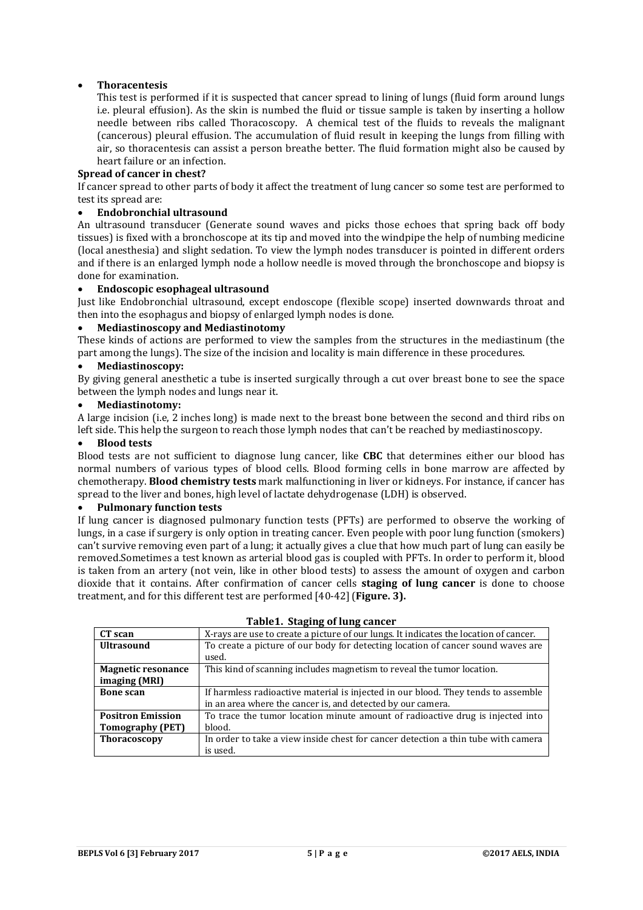# **Thoracentesis**

This test is performed if it is suspected that cancer spread to lining of lungs (fluid form around lungs i.e. pleural effusion). As the skin is numbed the fluid or tissue sample is taken by inserting a hollow needle between ribs called Thoracoscopy. A chemical test of the fluids to reveals the malignant (cancerous) pleural effusion. The accumulation of fluid result in keeping the lungs from filling with air, so thoracentesis can assist a person breathe better. The fluid formation might also be caused by heart failure or an infection.

# **Spread of cancer in chest?**

If cancer spread to other parts of body it affect the treatment of lung cancer so some test are performed to test its spread are:

# **Endobronchial ultrasound**

An ultrasound transducer (Generate sound waves and picks those echoes that spring back off body tissues) is fixed with a bronchoscope at its tip and moved into the windpipe the help of numbing medicine (local anesthesia) and slight sedation. To view the lymph nodes transducer is pointed in different orders and if there is an enlarged lymph node a hollow needle is moved through the bronchoscope and biopsy is done for examination.

### **Endoscopic esophageal ultrasound**

Just like Endobronchial ultrasound, except endoscope (flexible scope) inserted downwards throat and then into the esophagus and biopsy of enlarged lymph nodes is done.

# **Mediastinoscopy and Mediastinotomy**

These kinds of actions are performed to view the samples from the structures in the mediastinum (the part among the lungs). The size of the incision and locality is main difference in these procedures.

### **Mediastinoscopy:**

By giving general anesthetic a tube is inserted surgically through a cut over breast bone to see the space between the lymph nodes and lungs near it.

#### **Mediastinotomy:**

A large incision (i.e, 2 inches long) is made next to the breast bone between the second and third ribs on left side. This help the surgeon to reach those lymph nodes that can't be reached by mediastinoscopy.

#### **Blood tests**

Blood tests are not sufficient to diagnose lung cancer, like **CBC** that determines either our blood has normal numbers of various types of blood cells. Blood forming cells in bone marrow are affected by chemotherapy. **Blood chemistry tests** mark malfunctioning in liver or kidneys. For instance, if cancer has spread to the liver and bones, high level of lactate dehydrogenase (LDH) is observed.

### **Pulmonary function tests**

If lung cancer is diagnosed pulmonary function tests (PFTs) are performed to observe the working of lungs, in a case if surgery is only option in treating cancer. Even people with poor lung function (smokers) can't survive removing even part of a lung; it actually gives a clue that how much part of lung can easily be removed.Sometimes a test known as arterial blood gas is coupled with PFTs. In order to perform it, blood is taken from an artery (not vein, like in other blood tests) to assess the amount of oxygen and carbon dioxide that it contains. After confirmation of cancer cells **staging of lung cancer** is done to choose treatment, and for this different test are performed [40-42](**Figure. 3).**

| CT scan                   | X-rays are use to create a picture of our lungs. It indicates the location of cancer. |
|---------------------------|---------------------------------------------------------------------------------------|
| <b>Ultrasound</b>         | To create a picture of our body for detecting location of cancer sound waves are      |
|                           | used.                                                                                 |
| <b>Magnetic resonance</b> | This kind of scanning includes magnetism to reveal the tumor location.                |
| imaging (MRI)             |                                                                                       |
| <b>Bone scan</b>          | If harmless radioactive material is injected in our blood. They tends to assemble     |
|                           | in an area where the cancer is, and detected by our camera.                           |
| <b>Positron Emission</b>  | To trace the tumor location minute amount of radioactive drug is injected into        |
| <b>Tomography (PET)</b>   | blood.                                                                                |
| <b>Thoracoscopy</b>       | In order to take a view inside chest for cancer detection a thin tube with camera     |
|                           | is used.                                                                              |

#### **Table1. Staging of lung cancer**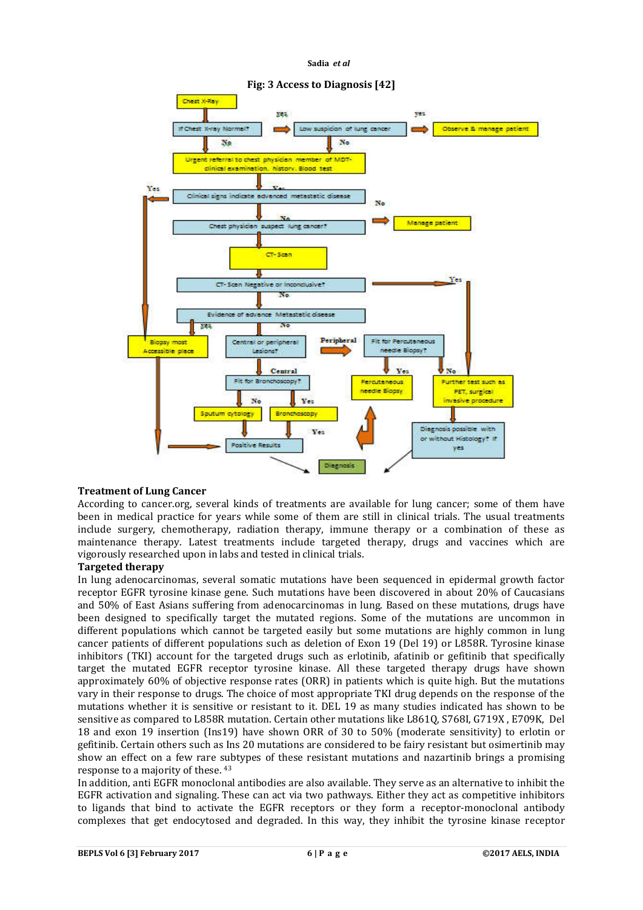

# **Treatment of Lung Cancer**

According to cancer.org, several kinds of treatments are available for lung cancer; some of them have been in medical practice for years while some of them are still in clinical trials. The usual treatments include surgery, chemotherapy, radiation therapy, immune therapy or a combination of these as maintenance therapy. Latest treatments include targeted therapy, drugs and vaccines which are vigorously researched upon in labs and tested in clinical trials.

### **Targeted therapy**

In lung adenocarcinomas, several somatic mutations have been sequenced in epidermal growth factor receptor EGFR tyrosine kinase gene. Such mutations have been discovered in about 20% of Caucasians and 50% of East Asians suffering from adenocarcinomas in lung. Based on these mutations, drugs have been designed to specifically target the mutated regions. Some of the mutations are uncommon in different populations which cannot be targeted easily but some mutations are highly common in lung cancer patients of different populations such as deletion of Exon 19 (Del 19) or L858R. Tyrosine kinase inhibitors (TKI) account for the targeted drugs such as erlotinib, afatinib or gefitinib that specifically target the mutated EGFR receptor tyrosine kinase. All these targeted therapy drugs have shown approximately 60% of objective response rates (ORR) in patients which is quite high. But the mutations vary in their response to drugs. The choice of most appropriate TKI drug depends on the response of the mutations whether it is sensitive or resistant to it. DEL 19 as many studies indicated has shown to be sensitive as compared to L858R mutation. Certain other mutations like L861Q, S768I, G719X , E709K, Del 18 and exon 19 insertion (Ins19) have shown ORR of 30 to 50% (moderate sensitivity) to erlotin or gefitinib. Certain others such as Ins 20 mutations are considered to be fairy resistant but osimertinib may show an effect on a few rare subtypes of these resistant mutations and nazartinib brings a promising response to a majority of these. 43

In addition, anti EGFR monoclonal antibodies are also available. They serve as an alternative to inhibit the EGFR activation and signaling. These can act via two pathways. Either they act as competitive inhibitors to ligands that bind to activate the EGFR receptors or they form a receptor-monoclonal antibody complexes that get endocytosed and degraded. In this way, they inhibit the tyrosine kinase receptor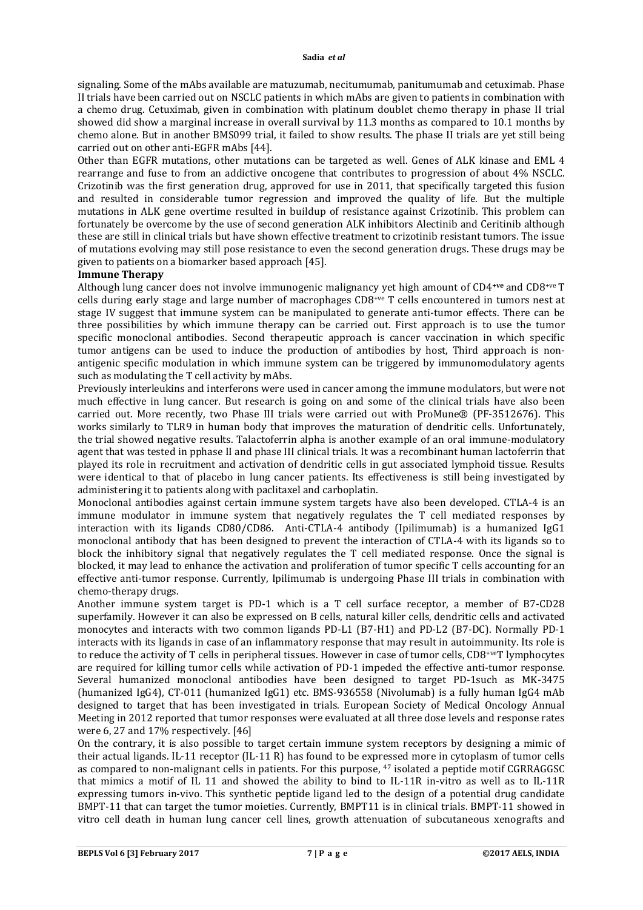signaling. Some of the mAbs available are matuzumab, necitumumab, panitumumab and cetuximab. Phase II trials have been carried out on NSCLC patients in which mAbs are given to patients in combination with a chemo drug. Cetuximab, given in combination with platinum doublet chemo therapy in phase II trial showed did show a marginal increase in overall survival by 11.3 months as compared to 10.1 months by chemo alone. But in another BMS099 trial, it failed to show results. The phase II trials are yet still being carried out on other anti-EGFR mAbs [44].

Other than EGFR mutations, other mutations can be targeted as well. Genes of ALK kinase and EML 4 rearrange and fuse to from an addictive oncogene that contributes to progression of about 4% NSCLC. Crizotinib was the first generation drug, approved for use in 2011, that specifically targeted this fusion and resulted in considerable tumor regression and improved the quality of life. But the multiple mutations in ALK gene overtime resulted in buildup of resistance against Crizotinib. This problem can fortunately be overcome by the use of second generation ALK inhibitors Alectinib and Ceritinib although these are still in clinical trials but have shown effective treatment to crizotinib resistant tumors. The issue of mutations evolving may still pose resistance to even the second generation drugs. These drugs may be given to patients on a biomarker based approach [45].

#### **Immune Therapy**

Although lung cancer does not involve immunogenic malignancy yet high amount of CD4**+ve** and CD8+ve T cells during early stage and large number of macrophages CD8+ve T cells encountered in tumors nest at stage IV suggest that immune system can be manipulated to generate anti-tumor effects. There can be three possibilities by which immune therapy can be carried out. First approach is to use the tumor specific monoclonal antibodies. Second therapeutic approach is cancer vaccination in which specific tumor antigens can be used to induce the production of antibodies by host, Third approach is nonantigenic specific modulation in which immune system can be triggered by immunomodulatory agents such as modulating the T cell activity by mAbs.

Previously interleukins and interferons were used in cancer among the immune modulators, but were not much effective in lung cancer. But research is going on and some of the clinical trials have also been carried out. More recently, two Phase III trials were carried out with ProMune® (PF-3512676). This works similarly to TLR9 in human body that improves the maturation of dendritic cells. Unfortunately, the trial showed negative results. Talactoferrin alpha is another example of an oral immune-modulatory agent that was tested in pphase II and phase III clinical trials. It was a recombinant human lactoferrin that played its role in recruitment and activation of dendritic cells in gut associated lymphoid tissue. Results were identical to that of placebo in lung cancer patients. Its effectiveness is still being investigated by administering it to patients along with paclitaxel and carboplatin.

Monoclonal antibodies against certain immune system targets have also been developed. CTLA-4 is an immune modulator in immune system that negatively regulates the T cell mediated responses by interaction with its ligands CD80/CD86. Anti-CTLA-4 antibody (Ipilimumab) is a humanized IgG1 monoclonal antibody that has been designed to prevent the interaction of CTLA-4 with its ligands so to block the inhibitory signal that negatively regulates the T cell mediated response. Once the signal is blocked, it may lead to enhance the activation and proliferation of tumor specific T cells accounting for an effective anti-tumor response. Currently, Ipilimumab is undergoing Phase III trials in combination with chemo-therapy drugs.

Another immune system target is PD-1 which is a T cell surface receptor, a member of B7-CD28 superfamily. However it can also be expressed on B cells, natural killer cells, dendritic cells and activated monocytes and interacts with two common ligands PD-L1 (B7-H1) and PD-L2 (B7-DC). Normally PD-1 interacts with its ligands in case of an inflammatory response that may result in autoimmunity. Its role is to reduce the activity of T cells in peripheral tissues. However in case of tumor cells, CD8+veT lymphocytes are required for killing tumor cells while activation of PD-1 impeded the effective anti-tumor response. Several humanized monoclonal antibodies have been designed to target PD-1such as MK-3475 (humanized IgG4), CT-011 (humanized IgG1) etc. BMS-936558 (Nivolumab) is a fully human IgG4 mAb designed to target that has been investigated in trials. European Society of Medical Oncology Annual Meeting in 2012 reported that tumor responses were evaluated at all three dose levels and response rates were 6, 27 and 17% respectively. [46]

On the contrary, it is also possible to target certain immune system receptors by designing a mimic of their actual ligands. IL-11 receptor (IL-11 R) has found to be expressed more in cytoplasm of tumor cells as compared to non-malignant cells in patients. For this purpose, 47 isolated a peptide motif CGRRAGGSC that mimics a motif of IL 11 and showed the ability to bind to IL-11R in-vitro as well as to IL-11R expressing tumors in-vivo. This synthetic peptide ligand led to the design of a potential drug candidate BMPT-11 that can target the tumor moieties. Currently, BMPT11 is in clinical trials. BMPT-11 showed in vitro cell death in human lung cancer cell lines, growth attenuation of subcutaneous xenografts and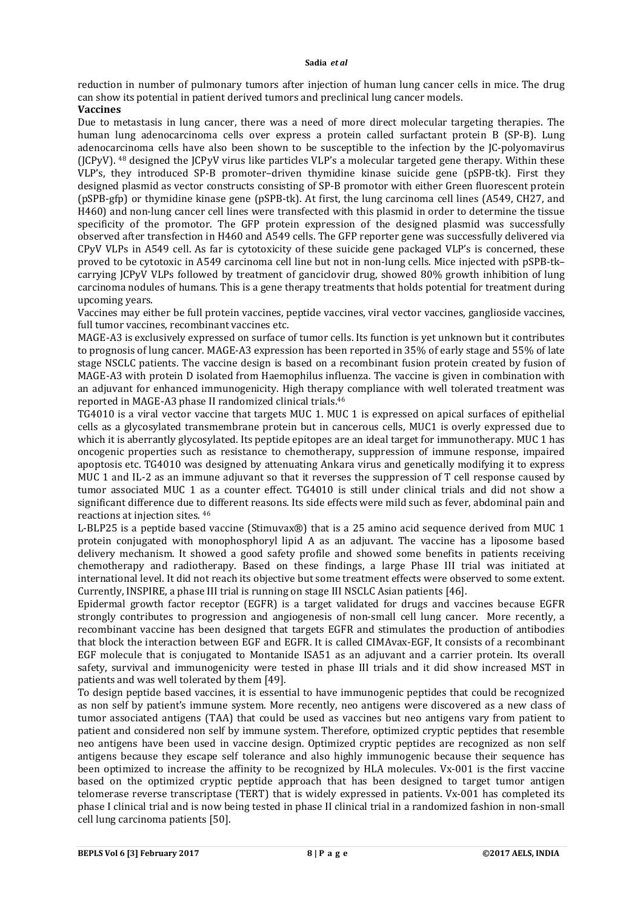reduction in number of pulmonary tumors after injection of human lung cancer cells in mice. The drug can show its potential in patient derived tumors and preclinical lung cancer models.

### **Vaccines**

Due to metastasis in lung cancer, there was a need of more direct molecular targeting therapies. The human lung adenocarcinoma cells over express a protein called surfactant protein B (SP-B). Lung adenocarcinoma cells have also been shown to be susceptible to the infection by the JC-polyomavirus ( $J(CPyV)$ .  $48$  designed the  $J(CPyV)$  virus like particles  $VLP's$  a molecular targeted gene therapy. Within these VLP's, they introduced SP-B promoter–driven thymidine kinase suicide gene (pSPB-tk). First they designed plasmid as vector constructs consisting of SP-B promotor with either Green fluorescent protein (pSPB-gfp) or thymidine kinase gene (pSPB-tk). At first, the lung carcinoma cell lines (A549, CH27, and H460) and non-lung cancer cell lines were transfected with this plasmid in order to determine the tissue specificity of the promotor. The GFP protein expression of the designed plasmid was successfully observed after transfection in H460 and A549 cells. The GFP reporter gene was successfully delivered via CPyV VLPs in A549 cell. As far is cytotoxicity of these suicide gene packaged VLP's is concerned, these proved to be cytotoxic in A549 carcinoma cell line but not in non-lung cells. Mice injected with pSPB-tk– carrying JCPyV VLPs followed by treatment of ganciclovir drug, showed 80% growth inhibition of lung carcinoma nodules of humans. This is a gene therapy treatments that holds potential for treatment during upcoming years.

Vaccines may either be full protein vaccines, peptide vaccines, viral vector vaccines, ganglioside vaccines, full tumor vaccines, recombinant vaccines etc.

MAGE-A3 is exclusively expressed on surface of tumor cells. Its function is yet unknown but it contributes to prognosis of lung cancer. MAGE-A3 expression has been reported in 35% of early stage and 55% of late stage NSCLC patients. The vaccine design is based on a recombinant fusion protein created by fusion of MAGE-A3 with protein D isolated from Haemophilus influenza. The vaccine is given in combination with an adjuvant for enhanced immunogenicity. High therapy compliance with well tolerated treatment was reported in MAGE-A3 phase II randomized clinical trials.46

TG4010 is a viral vector vaccine that targets MUC 1. MUC 1 is expressed on apical surfaces of epithelial cells as a glycosylated transmembrane protein but in cancerous cells, MUC1 is overly expressed due to which it is aberrantly glycosylated. Its peptide epitopes are an ideal target for immunotherapy. MUC 1 has oncogenic properties such as resistance to chemotherapy, suppression of immune response, impaired apoptosis etc. TG4010 was designed by attenuating Ankara virus and genetically modifying it to express MUC 1 and IL-2 as an immune adjuvant so that it reverses the suppression of T cell response caused by tumor associated MUC 1 as a counter effect. TG4010 is still under clinical trials and did not show a significant difference due to different reasons. Its side effects were mild such as fever, abdominal pain and reactions at injection sites. 46

L-BLP25 is a peptide based vaccine (Stimuvax®) that is a 25 amino acid sequence derived from MUC 1 protein conjugated with monophosphoryl lipid A as an adjuvant. The vaccine has a liposome based delivery mechanism. It showed a good safety profile and showed some benefits in patients receiving chemotherapy and radiotherapy. Based on these findings, a large Phase III trial was initiated at international level. It did not reach its objective but some treatment effects were observed to some extent. Currently, INSPIRE, a phase III trial is running on stage III NSCLC Asian patients [46].

Epidermal growth factor receptor (EGFR) is a target validated for drugs and vaccines because EGFR strongly contributes to progression and angiogenesis of non-small cell lung cancer. More recently, a recombinant vaccine has been designed that targets EGFR and stimulates the production of antibodies that block the interaction between EGF and EGFR. It is called CIMAvax-EGF, It consists of a recombinant EGF molecule that is conjugated to Montanide ISA51 as an adjuvant and a carrier protein. Its overall safety, survival and immunogenicity were tested in phase III trials and it did show increased MST in patients and was well tolerated by them [49].

To design peptide based vaccines, it is essential to have immunogenic peptides that could be recognized as non self by patient's immune system. More recently, neo antigens were discovered as a new class of tumor associated antigens (TAA) that could be used as vaccines but neo antigens vary from patient to patient and considered non self by immune system. Therefore, optimized cryptic peptides that resemble neo antigens have been used in vaccine design. Optimized cryptic peptides are recognized as non self antigens because they escape self tolerance and also highly immunogenic because their sequence has been optimized to increase the affinity to be recognized by HLA molecules. Vx-001 is the first vaccine based on the optimized cryptic peptide approach that has been designed to target tumor antigen telomerase reverse transcriptase (TERT) that is widely expressed in patients. Vx-001 has completed its phase I clinical trial and is now being tested in phase II clinical trial in a randomized fashion in non-small cell lung carcinoma patients [50].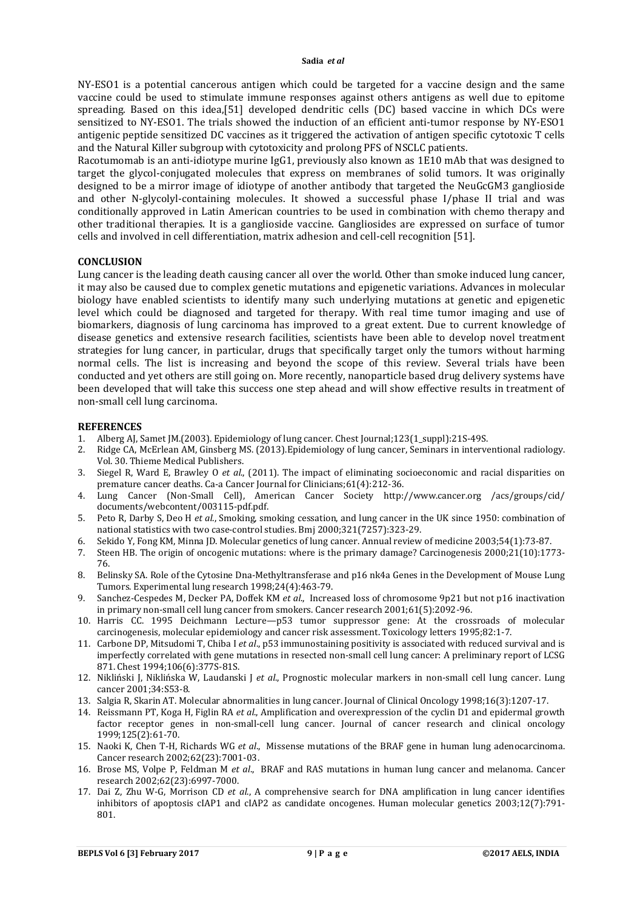NY-ESO1 is a potential cancerous antigen which could be targeted for a vaccine design and the same vaccine could be used to stimulate immune responses against others antigens as well due to epitome spreading. Based on this idea,[51] developed dendritic cells (DC) based vaccine in which DCs were sensitized to NY-ESO1. The trials showed the induction of an efficient anti-tumor response by NY-ESO1 antigenic peptide sensitized DC vaccines as it triggered the activation of antigen specific cytotoxic T cells and the Natural Killer subgroup with cytotoxicity and prolong PFS of NSCLC patients.

Racotumomab is an anti-idiotype murine IgG1, previously also known as 1E10 mAb that was designed to target the glycol-conjugated molecules that express on membranes of solid tumors. It was originally designed to be a mirror image of idiotype of another antibody that targeted the NeuGcGM3 ganglioside and other N-glycolyl-containing molecules. It showed a successful phase I/phase II trial and was conditionally approved in Latin American countries to be used in combination with chemo therapy and other traditional therapies. It is a ganglioside vaccine. Gangliosides are expressed on surface of tumor cells and involved in cell differentiation, matrix adhesion and cell-cell recognition [51].

#### **CONCLUSION**

Lung cancer is the leading death causing cancer all over the world. Other than smoke induced lung cancer, it may also be caused due to complex genetic mutations and epigenetic variations. Advances in molecular biology have enabled scientists to identify many such underlying mutations at genetic and epigenetic level which could be diagnosed and targeted for therapy. With real time tumor imaging and use of biomarkers, diagnosis of lung carcinoma has improved to a great extent. Due to current knowledge of disease genetics and extensive research facilities, scientists have been able to develop novel treatment strategies for lung cancer, in particular, drugs that specifically target only the tumors without harming normal cells. The list is increasing and beyond the scope of this review. Several trials have been conducted and yet others are still going on. More recently, nanoparticle based drug delivery systems have been developed that will take this success one step ahead and will show effective results in treatment of non-small cell lung carcinoma.

#### **REFERENCES**

- 1. Alberg AJ, Samet JM.(2003). Epidemiology of lung cancer. Chest Journal;123(1\_suppl):21S-49S.
- 2. Ridge CA, McErlean AM, Ginsberg MS. (2013).Epidemiology of lung cancer, Seminars in interventional radiology. Vol. 30. Thieme Medical Publishers.
- 3. Siegel R, Ward E, Brawley O *et al*., (2011). The impact of eliminating socioeconomic and racial disparities on premature cancer deaths. Ca-a Cancer Journal for Clinicians;61(4):212-36.
- 4. Lung Cancer (Non-Small Cell), American Cancer Society http://www.cancer.org /acs/groups/cid/ documents/webcontent/003115-pdf.pdf.
- 5. Peto R, Darby S, Deo H *et al*., Smoking, smoking cessation, and lung cancer in the UK since 1950: combination of national statistics with two case-control studies. Bmj 2000;321(7257):323-29.
- 6. Sekido Y, Fong KM, Minna JD. Molecular genetics of lung cancer. Annual review of medicine 2003;54(1):73-87.
- 7. Steen HB. The origin of oncogenic mutations: where is the primary damage? Carcinogenesis 2000;21(10):1773- 76.
- 8. Belinsky SA. Role of the Cytosine Dna-Methyltransferase and p16 nk4a Genes in the Development of Mouse Lung Tumors. Experimental lung research 1998;24(4):463-79.
- 9. Sanchez-Cespedes M, Decker PA, Doffek KM *et al*., Increased loss of chromosome 9p21 but not p16 inactivation in primary non-small cell lung cancer from smokers. Cancer research 2001;61(5):2092-96.
- 10. Harris CC. 1995 Deichmann Lecture—p53 tumor suppressor gene: At the crossroads of molecular carcinogenesis, molecular epidemiology and cancer risk assessment. Toxicology letters 1995;82:1-7.
- 11. Carbone DP, Mitsudomi T, Chiba I *et al*., p53 immunostaining positivity is associated with reduced survival and is imperfectly correlated with gene mutations in resected non-small cell lung cancer: A preliminary report of LCSG 871. Chest 1994;106(6):377S-81S.
- 12. Nikliński J, Niklińska W, Laudanski J *et al*., Prognostic molecular markers in non-small cell lung cancer. Lung cancer 2001;34:S53-8.
- 13. Salgia R, Skarin AT. Molecular abnormalities in lung cancer. Journal of Clinical Oncology 1998;16(3):1207-17.
- 14. Reissmann PT, Koga H, Figlin RA *et al*., Amplification and overexpression of the cyclin D1 and epidermal growth factor receptor genes in non-small-cell lung cancer. Journal of cancer research and clinical oncology 1999;125(2):61-70.
- 15. Naoki K, Chen T-H, Richards WG *et al*., Missense mutations of the BRAF gene in human lung adenocarcinoma. Cancer research 2002;62(23):7001-03.
- 16. Brose MS, Volpe P, Feldman M *et al*., BRAF and RAS mutations in human lung cancer and melanoma. Cancer research 2002;62(23):6997-7000.
- 17. Dai Z, Zhu W-G, Morrison CD *et al*., A comprehensive search for DNA amplification in lung cancer identifies inhibitors of apoptosis cIAP1 and cIAP2 as candidate oncogenes. Human molecular genetics 2003;12(7):791- 801.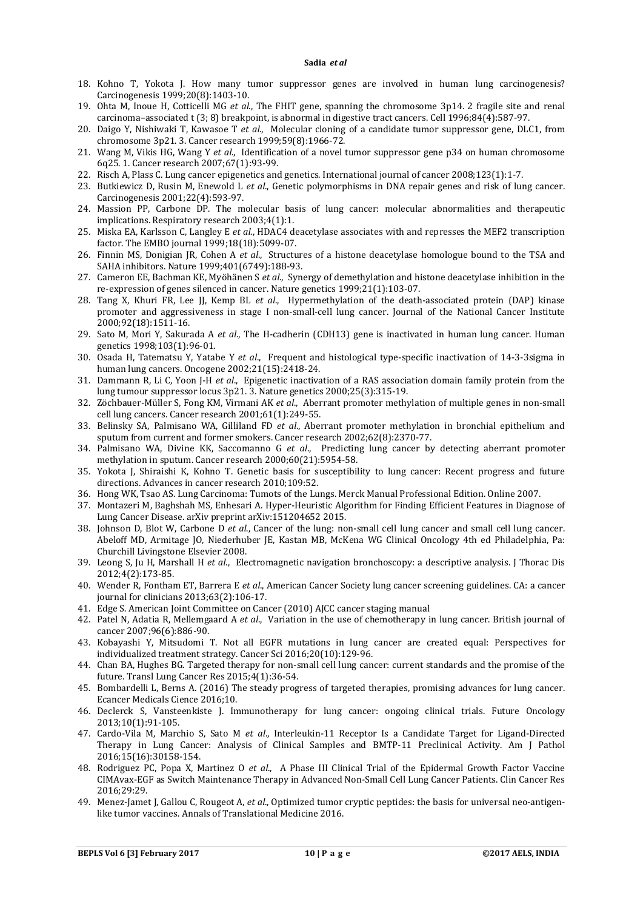- 18. Kohno T, Yokota J. How many tumor suppressor genes are involved in human lung carcinogenesis? Carcinogenesis 1999;20(8):1403-10.
- 19. Ohta M, Inoue H, Cotticelli MG *et al*., The FHIT gene, spanning the chromosome 3p14. 2 fragile site and renal carcinoma–associated t (3; 8) breakpoint, is abnormal in digestive tract cancers. Cell 1996;84(4):587-97.
- 20. Daigo Y, Nishiwaki T, Kawasoe T *et al*., Molecular cloning of a candidate tumor suppressor gene, DLC1, from chromosome 3p21. 3. Cancer research 1999;59(8):1966-72.
- 21. Wang M, Vikis HG, Wang Y *et al*., Identification of a novel tumor suppressor gene p34 on human chromosome 6q25. 1. Cancer research 2007;67(1):93-99.
- 22. Risch A, Plass C. Lung cancer epigenetics and genetics. International journal of cancer 2008;123(1):1-7.
- 23. Butkiewicz D, Rusin M, Enewold L *et al*., Genetic polymorphisms in DNA repair genes and risk of lung cancer. Carcinogenesis 2001;22(4):593-97.
- 24. Massion PP, Carbone DP. The molecular basis of lung cancer: molecular abnormalities and therapeutic implications. Respiratory research 2003;4(1):1.
- 25. Miska EA, Karlsson C, Langley E *et al*., HDAC4 deacetylase associates with and represses the MEF2 transcription factor. The EMBO journal 1999;18(18):5099-07.
- 26. Finnin MS, Donigian JR, Cohen A *et al*., Structures of a histone deacetylase homologue bound to the TSA and SAHA inhibitors. Nature 1999;401(6749):188-93.
- 27. Cameron EE, Bachman KE, Myöhänen S *et al*., Synergy of demethylation and histone deacetylase inhibition in the re-expression of genes silenced in cancer. Nature genetics 1999;21(1):103-07.
- 28. Tang X, Khuri FR, Lee JJ, Kemp BL *et al*., Hypermethylation of the death-associated protein (DAP) kinase promoter and aggressiveness in stage I non-small-cell lung cancer. Journal of the National Cancer Institute 2000;92(18):1511-16.
- 29. Sato M, Mori Y, Sakurada A *et al*., The H-cadherin (CDH13) gene is inactivated in human lung cancer. Human genetics 1998;103(1):96-01.
- 30. Osada H, Tatematsu Y, Yatabe Y *et al*., Frequent and histological type-specific inactivation of 14-3-3sigma in human lung cancers. Oncogene 2002;21(15):2418-24.
- 31. Dammann R, Li C, Yoon J-H *et al*., Epigenetic inactivation of a RAS association domain family protein from the lung tumour suppressor locus 3p21. 3. Nature genetics 2000;25(3):315-19.
- 32. Zöchbauer-Müller S, Fong KM, Virmani AK *et al*., Aberrant promoter methylation of multiple genes in non-small cell lung cancers. Cancer research 2001;61(1):249-55.
- 33. Belinsky SA, Palmisano WA, Gilliland FD *et al*., Aberrant promoter methylation in bronchial epithelium and sputum from current and former smokers. Cancer research 2002;62(8):2370-77.
- 34. Palmisano WA, Divine KK, Saccomanno G *et al*., Predicting lung cancer by detecting aberrant promoter methylation in sputum. Cancer research 2000;60(21):5954-58.
- 35. Yokota J, Shiraishi K, Kohno T. Genetic basis for susceptibility to lung cancer: Recent progress and future directions. Advances in cancer research 2010;109:52.
- 36. Hong WK, Tsao AS. Lung Carcinoma: Tumots of the Lungs. Merck Manual Professional Edition. Online 2007.
- 37. Montazeri M, Baghshah MS, Enhesari A. Hyper-Heuristic Algorithm for Finding Efficient Features in Diagnose of Lung Cancer Disease. arXiv preprint arXiv:151204652 2015.
- 38. Johnson D, Blot W, Carbone D *et al*., Cancer of the lung: non-small cell lung cancer and small cell lung cancer. Abeloff MD, Armitage JO, Niederhuber JE, Kastan MB, McKena WG Clinical Oncology 4th ed Philadelphia, Pa: Churchill Livingstone Elsevier 2008.
- 39. Leong S, Ju H, Marshall H *et al*., Electromagnetic navigation bronchoscopy: a descriptive analysis. J Thorac Dis 2012;4(2):173-85.
- 40. Wender R, Fontham ET, Barrera E *et al*., American Cancer Society lung cancer screening guidelines. CA: a cancer journal for clinicians 2013;63(2):106-17.
- 41. Edge S. American Joint Committee on Cancer (2010) AJCC cancer staging manual
- 42. Patel N, Adatia R, Mellemgaard A *et al*., Variation in the use of chemotherapy in lung cancer. British journal of cancer 2007;96(6):886-90.
- 43. Kobayashi Y, Mitsudomi T. Not all EGFR mutations in lung cancer are created equal: Perspectives for individualized treatment strategy. Cancer Sci 2016;20(10):129-96.
- 44. Chan BA, Hughes BG. Targeted therapy for non-small cell lung cancer: current standards and the promise of the future. Transl Lung Cancer Res 2015;4(1):36-54.
- 45. Bombardelli L, Berns A. (2016) The steady progress of targeted therapies, promising advances for lung cancer. Ecancer Medicals Cience 2016;10.
- 46. Declerck S, Vansteenkiste J. Immunotherapy for lung cancer: ongoing clinical trials. Future Oncology 2013;10(1):91-105.
- 47. Cardo-Vila M, Marchio S, Sato M *et al*., Interleukin-11 Receptor Is a Candidate Target for Ligand-Directed Therapy in Lung Cancer: Analysis of Clinical Samples and BMTP-11 Preclinical Activity. Am J Pathol 2016;15(16):30158-154.
- 48. Rodriguez PC, Popa X, Martinez O *et al*., A Phase III Clinical Trial of the Epidermal Growth Factor Vaccine CIMAvax-EGF as Switch Maintenance Therapy in Advanced Non-Small Cell Lung Cancer Patients. Clin Cancer Res 2016;29:29.
- 49. Menez-Jamet J, Gallou C, Rougeot A, *et al*., Optimized tumor cryptic peptides: the basis for universal neo-antigenlike tumor vaccines. Annals of Translational Medicine 2016.